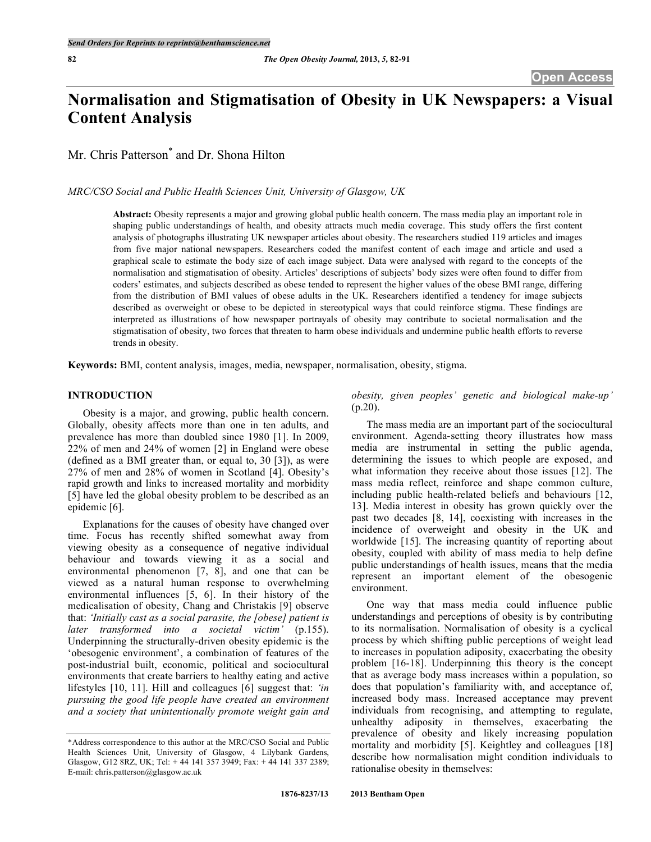# **Normalisation and Stigmatisation of Obesity in UK Newspapers: a Visual Content Analysis**

Mr. Chris Patterson<sup>\*</sup> and Dr. Shona Hilton

*MRC/CSO Social and Public Health Sciences Unit, University of Glasgow, UK*

**Abstract:** Obesity represents a major and growing global public health concern. The mass media play an important role in shaping public understandings of health, and obesity attracts much media coverage. This study offers the first content analysis of photographs illustrating UK newspaper articles about obesity. The researchers studied 119 articles and images from five major national newspapers. Researchers coded the manifest content of each image and article and used a graphical scale to estimate the body size of each image subject. Data were analysed with regard to the concepts of the normalisation and stigmatisation of obesity. Articles' descriptions of subjects' body sizes were often found to differ from coders' estimates, and subjects described as obese tended to represent the higher values of the obese BMI range, differing from the distribution of BMI values of obese adults in the UK. Researchers identified a tendency for image subjects described as overweight or obese to be depicted in stereotypical ways that could reinforce stigma. These findings are interpreted as illustrations of how newspaper portrayals of obesity may contribute to societal normalisation and the stigmatisation of obesity, two forces that threaten to harm obese individuals and undermine public health efforts to reverse trends in obesity.

**Keywords:** BMI, content analysis, images, media, newspaper, normalisation, obesity, stigma.

# **INTRODUCTION**

Obesity is a major, and growing, public health concern. Globally, obesity affects more than one in ten adults, and prevalence has more than doubled since 1980 [1]. In 2009, 22% of men and 24% of women [2] in England were obese (defined as a BMI greater than, or equal to, 30 [3]), as were 27% of men and 28% of women in Scotland [4]. Obesity's rapid growth and links to increased mortality and morbidity [5] have led the global obesity problem to be described as an epidemic [6].

Explanations for the causes of obesity have changed over time. Focus has recently shifted somewhat away from viewing obesity as a consequence of negative individual behaviour and towards viewing it as a social and environmental phenomenon [7, 8], and one that can be viewed as a natural human response to overwhelming environmental influences [5, 6]. In their history of the medicalisation of obesity, Chang and Christakis [9] observe that: *'Initially cast as a social parasite, the [obese] patient is later transformed into a societal victim'* (p.155). Underpinning the structurally-driven obesity epidemic is the 'obesogenic environment', a combination of features of the post-industrial built, economic, political and sociocultural environments that create barriers to healthy eating and active lifestyles [10, 11]. Hill and colleagues [6] suggest that: *'in pursuing the good life people have created an environment and a society that unintentionally promote weight gain and*

*obesity, given peoples' genetic and biological make-up'* (p.20).

The mass media are an important part of the sociocultural environment. Agenda-setting theory illustrates how mass media are instrumental in setting the public agenda, determining the issues to which people are exposed, and what information they receive about those issues [12]. The mass media reflect, reinforce and shape common culture, including public health-related beliefs and behaviours [12, 13]. Media interest in obesity has grown quickly over the past two decades [8, 14], coexisting with increases in the incidence of overweight and obesity in the UK and worldwide [15]. The increasing quantity of reporting about obesity, coupled with ability of mass media to help define public understandings of health issues, means that the media represent an important element of the obesogenic environment.

One way that mass media could influence public understandings and perceptions of obesity is by contributing to its normalisation. Normalisation of obesity is a cyclical process by which shifting public perceptions of weight lead to increases in population adiposity, exacerbating the obesity problem [16-18]. Underpinning this theory is the concept that as average body mass increases within a population, so does that population's familiarity with, and acceptance of, increased body mass. Increased acceptance may prevent individuals from recognising, and attempting to regulate, unhealthy adiposity in themselves, exacerbating the prevalence of obesity and likely increasing population mortality and morbidity [5]. Keightley and colleagues [18] describe how normalisation might condition individuals to rationalise obesity in themselves:

<sup>\*</sup>Address correspondence to this author at the MRC/CSO Social and Public Health Sciences Unit, University of Glasgow, 4 Lilybank Gardens, Glasgow, G12 8RZ, UK; Tel: + 44 141 357 3949; Fax: + 44 141 337 2389; E-mail: chris.patterson@glasgow.ac.uk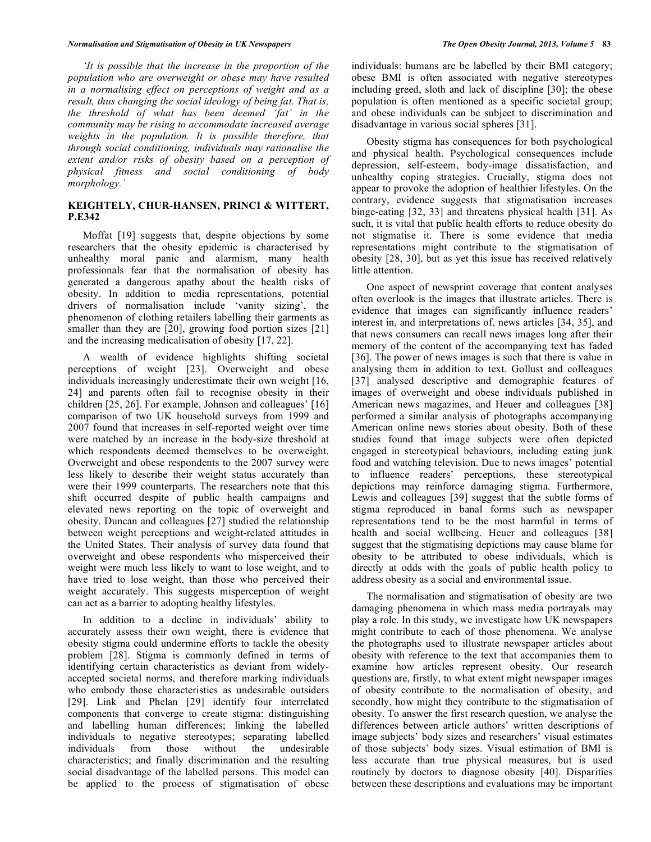#### *Normalisation and Stigmatisation of Obesity in UK Newspapers The Open Obesity Journal, 2013, Volume 5* **83**

*'It is possible that the increase in the proportion of the population who are overweight or obese may have resulted in a normalising effect on perceptions of weight and as a result, thus changing the social ideology of being fat. That is, the threshold of what has been deemed 'fat' in the community may be rising to accommodate increased average weights in the population. It is possible therefore, that through social conditioning, individuals may rationalise the extent and/or risks of obesity based on a perception of physical fitness and social conditioning of body morphology.'*

# **KEIGHTELY, CHUR-HANSEN, PRINCI & WITTERT, P.E342**

Moffat [19] suggests that, despite objections by some researchers that the obesity epidemic is characterised by unhealthy moral panic and alarmism, many health professionals fear that the normalisation of obesity has generated a dangerous apathy about the health risks of obesity. In addition to media representations, potential drivers of normalisation include 'vanity sizing', the phenomenon of clothing retailers labelling their garments as smaller than they are [20], growing food portion sizes [21] and the increasing medicalisation of obesity [17, 22].

A wealth of evidence highlights shifting societal perceptions of weight [23]. Overweight and obese individuals increasingly underestimate their own weight [16, 24] and parents often fail to recognise obesity in their children [25, 26]. For example, Johnson and colleagues' [16] comparison of two UK household surveys from 1999 and 2007 found that increases in self-reported weight over time were matched by an increase in the body-size threshold at which respondents deemed themselves to be overweight. Overweight and obese respondents to the 2007 survey were less likely to describe their weight status accurately than were their 1999 counterparts. The researchers note that this shift occurred despite of public health campaigns and elevated news reporting on the topic of overweight and obesity. Duncan and colleagues [27] studied the relationship between weight perceptions and weight-related attitudes in the United States. Their analysis of survey data found that overweight and obese respondents who misperceived their weight were much less likely to want to lose weight, and to have tried to lose weight, than those who perceived their weight accurately. This suggests misperception of weight can act as a barrier to adopting healthy lifestyles.

In addition to a decline in individuals' ability to accurately assess their own weight, there is evidence that obesity stigma could undermine efforts to tackle the obesity problem [28]. Stigma is commonly defined in terms of identifying certain characteristics as deviant from widelyaccepted societal norms, and therefore marking individuals who embody those characteristics as undesirable outsiders [29]. Link and Phelan [29] identify four interrelated components that converge to create stigma: distinguishing and labelling human differences; linking the labelled individuals to negative stereotypes; separating labelled individuals from those without the undesirable characteristics; and finally discrimination and the resulting social disadvantage of the labelled persons. This model can be applied to the process of stigmatisation of obese

individuals: humans are be labelled by their BMI category; obese BMI is often associated with negative stereotypes including greed, sloth and lack of discipline [30]; the obese population is often mentioned as a specific societal group; and obese individuals can be subject to discrimination and disadvantage in various social spheres [31].

Obesity stigma has consequences for both psychological and physical health. Psychological consequences include depression, self-esteem, body-image dissatisfaction, and unhealthy coping strategies. Crucially, stigma does not appear to provoke the adoption of healthier lifestyles. On the contrary, evidence suggests that stigmatisation increases binge-eating [32, 33] and threatens physical health [31]. As such, it is vital that public health efforts to reduce obesity do not stigmatise it. There is some evidence that media representations might contribute to the stigmatisation of obesity [28, 30], but as yet this issue has received relatively little attention.

One aspect of newsprint coverage that content analyses often overlook is the images that illustrate articles. There is evidence that images can significantly influence readers' interest in, and interpretations of, news articles [34, 35], and that news consumers can recall news images long after their memory of the content of the accompanying text has faded [36]. The power of news images is such that there is value in analysing them in addition to text. Gollust and colleagues [37] analysed descriptive and demographic features of images of overweight and obese individuals published in American news magazines, and Heuer and colleagues [38] performed a similar analysis of photographs accompanying American online news stories about obesity. Both of these studies found that image subjects were often depicted engaged in stereotypical behaviours, including eating junk food and watching television. Due to news images' potential to influence readers' perceptions, these stereotypical depictions may reinforce damaging stigma. Furthermore, Lewis and colleagues [39] suggest that the subtle forms of stigma reproduced in banal forms such as newspaper representations tend to be the most harmful in terms of health and social wellbeing. Heuer and colleagues [38] suggest that the stigmatising depictions may cause blame for obesity to be attributed to obese individuals, which is directly at odds with the goals of public health policy to address obesity as a social and environmental issue.

The normalisation and stigmatisation of obesity are two damaging phenomena in which mass media portrayals may play a role. In this study, we investigate how UK newspapers might contribute to each of those phenomena. We analyse the photographs used to illustrate newspaper articles about obesity with reference to the text that accompanies them to examine how articles represent obesity. Our research questions are, firstly, to what extent might newspaper images of obesity contribute to the normalisation of obesity, and secondly, how might they contribute to the stigmatisation of obesity. To answer the first research question, we analyse the differences between article authors' written descriptions of image subjects' body sizes and researchers' visual estimates of those subjects' body sizes. Visual estimation of BMI is less accurate than true physical measures, but is used routinely by doctors to diagnose obesity [40]. Disparities between these descriptions and evaluations may be important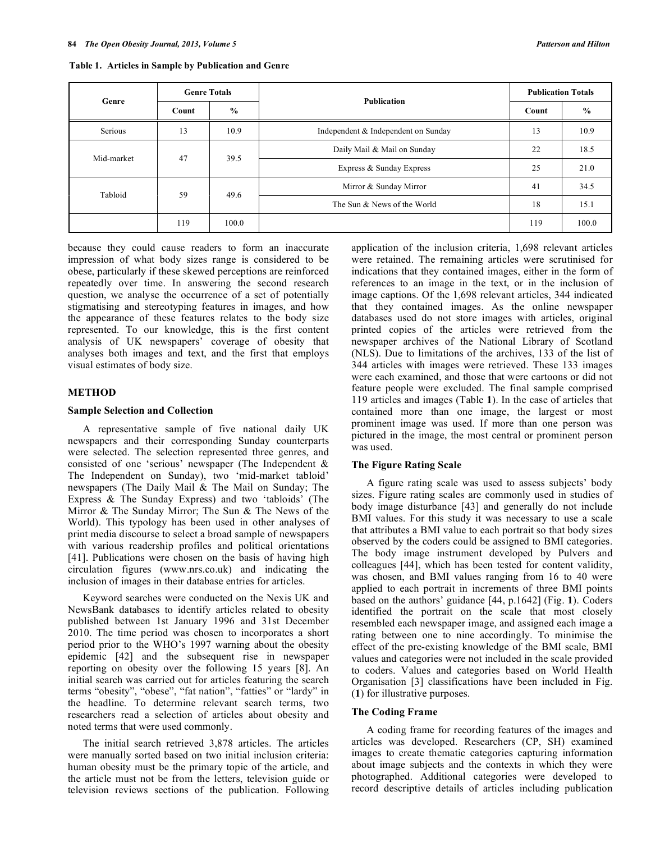| Genre      | <b>Genre Totals</b>    |            | <b>Publication</b>                  | <b>Publication Totals</b> |               |
|------------|------------------------|------------|-------------------------------------|---------------------------|---------------|
|            | $\frac{0}{0}$<br>Count |            |                                     | Count                     | $\frac{6}{9}$ |
| Serious    | 13                     | 10.9       | Independent & Independent on Sunday | 13                        | 10.9          |
| Mid-market | 47                     | 39.5       | Daily Mail & Mail on Sunday         | 22                        | 18.5          |
|            |                        |            | Express & Sunday Express            | 25                        | 21.0          |
| Tabloid    |                        | 59<br>49.6 | Mirror & Sunday Mirror              | 41                        | 34.5          |
|            |                        |            | The Sun & News of the World         | 18                        | 15.1          |
|            | 119                    | 100.0      |                                     | 119                       | 100.0         |

**Table 1. Articles in Sample by Publication and Genre**

because they could cause readers to form an inaccurate impression of what body sizes range is considered to be obese, particularly if these skewed perceptions are reinforced repeatedly over time. In answering the second research question, we analyse the occurrence of a set of potentially stigmatising and stereotyping features in images, and how the appearance of these features relates to the body size represented. To our knowledge, this is the first content analysis of UK newspapers' coverage of obesity that analyses both images and text, and the first that employs visual estimates of body size.

#### **METHOD**

#### **Sample Selection and Collection**

A representative sample of five national daily UK newspapers and their corresponding Sunday counterparts were selected. The selection represented three genres, and consisted of one 'serious' newspaper (The Independent & The Independent on Sunday), two 'mid-market tabloid' newspapers (The Daily Mail & The Mail on Sunday; The Express & The Sunday Express) and two 'tabloids' (The Mirror & The Sunday Mirror; The Sun & The News of the World). This typology has been used in other analyses of print media discourse to select a broad sample of newspapers with various readership profiles and political orientations [41]. Publications were chosen on the basis of having high circulation figures (www.nrs.co.uk) and indicating the inclusion of images in their database entries for articles.

Keyword searches were conducted on the Nexis UK and NewsBank databases to identify articles related to obesity published between 1st January 1996 and 31st December 2010. The time period was chosen to incorporates a short period prior to the WHO's 1997 warning about the obesity epidemic [42] and the subsequent rise in newspaper reporting on obesity over the following 15 years [8]. An initial search was carried out for articles featuring the search terms "obesity", "obese", "fat nation", "fatties" or "lardy" in the headline. To determine relevant search terms, two researchers read a selection of articles about obesity and noted terms that were used commonly.

The initial search retrieved 3,878 articles. The articles were manually sorted based on two initial inclusion criteria: human obesity must be the primary topic of the article, and the article must not be from the letters, television guide or television reviews sections of the publication. Following

application of the inclusion criteria, 1,698 relevant articles were retained. The remaining articles were scrutinised for indications that they contained images, either in the form of references to an image in the text, or in the inclusion of image captions. Of the 1,698 relevant articles, 344 indicated that they contained images. As the online newspaper databases used do not store images with articles, original printed copies of the articles were retrieved from the newspaper archives of the National Library of Scotland (NLS). Due to limitations of the archives, 133 of the list of 344 articles with images were retrieved. These 133 images were each examined, and those that were cartoons or did not feature people were excluded. The final sample comprised 119 articles and images (Table **1**). In the case of articles that contained more than one image, the largest or most prominent image was used. If more than one person was pictured in the image, the most central or prominent person was used.

#### **The Figure Rating Scale**

A figure rating scale was used to assess subjects' body sizes. Figure rating scales are commonly used in studies of body image disturbance [43] and generally do not include BMI values. For this study it was necessary to use a scale that attributes a BMI value to each portrait so that body sizes observed by the coders could be assigned to BMI categories. The body image instrument developed by Pulvers and colleagues [44], which has been tested for content validity, was chosen, and BMI values ranging from 16 to 40 were applied to each portrait in increments of three BMI points based on the authors' guidance [44, p.1642] (Fig. **1**). Coders identified the portrait on the scale that most closely resembled each newspaper image, and assigned each image a rating between one to nine accordingly. To minimise the effect of the pre-existing knowledge of the BMI scale, BMI values and categories were not included in the scale provided to coders. Values and categories based on World Health Organisation [3] classifications have been included in Fig. (**1**) for illustrative purposes.

#### **The Coding Frame**

A coding frame for recording features of the images and articles was developed. Researchers (CP, SH) examined images to create thematic categories capturing information about image subjects and the contexts in which they were photographed. Additional categories were developed to record descriptive details of articles including publication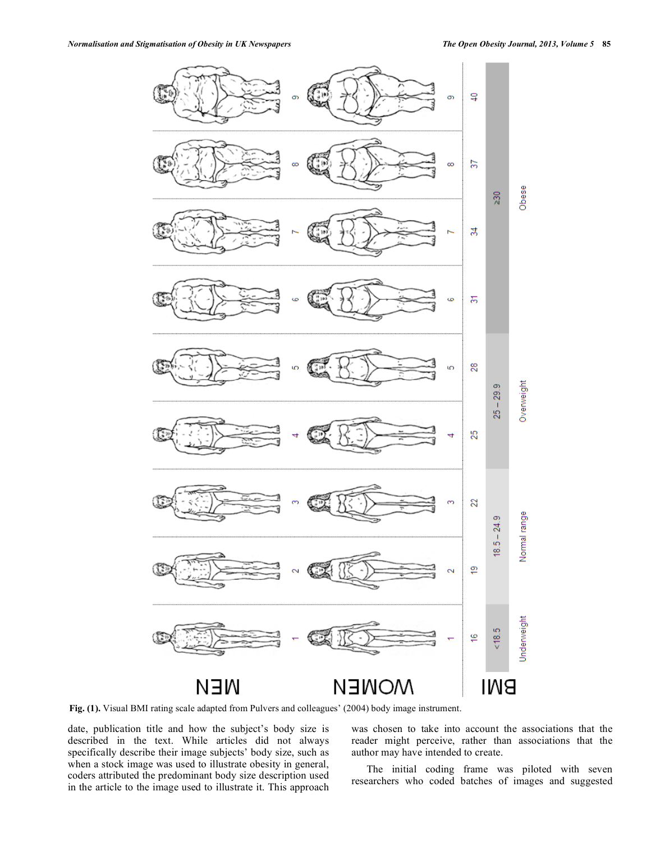

**Fig. (1).** Visual BMI rating scale adapted from Pulvers and colleagues' (2004) body image instrument.

date, publication title and how the subject's body size is described in the text. While articles did not always specifically describe their image subjects' body size, such as when a stock image was used to illustrate obesity in general, coders attributed the predominant body size description used in the article to the image used to illustrate it. This approach

was chosen to take into account the associations that the reader might perceive, rather than associations that the author may have intended to create.

The initial coding frame was piloted with seven researchers who coded batches of images and suggested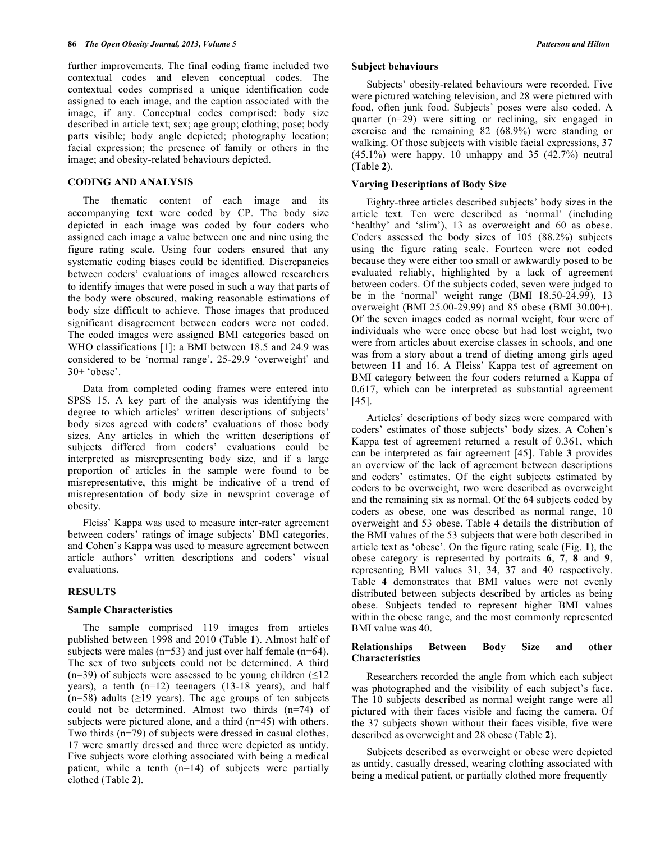further improvements. The final coding frame included two contextual codes and eleven conceptual codes. The contextual codes comprised a unique identification code assigned to each image, and the caption associated with the image, if any. Conceptual codes comprised: body size described in article text; sex; age group; clothing; pose; body parts visible; body angle depicted; photography location; facial expression; the presence of family or others in the image; and obesity-related behaviours depicted.

#### **CODING AND ANALYSIS**

The thematic content of each image and its accompanying text were coded by CP. The body size depicted in each image was coded by four coders who assigned each image a value between one and nine using the figure rating scale. Using four coders ensured that any systematic coding biases could be identified. Discrepancies between coders' evaluations of images allowed researchers to identify images that were posed in such a way that parts of the body were obscured, making reasonable estimations of body size difficult to achieve. Those images that produced significant disagreement between coders were not coded. The coded images were assigned BMI categories based on WHO classifications [1]: a BMI between 18.5 and 24.9 was considered to be 'normal range', 25-29.9 'overweight' and 30+ 'obese'.

Data from completed coding frames were entered into SPSS 15. A key part of the analysis was identifying the degree to which articles' written descriptions of subjects' body sizes agreed with coders' evaluations of those body sizes. Any articles in which the written descriptions of subjects differed from coders' evaluations could be interpreted as misrepresenting body size, and if a large proportion of articles in the sample were found to be misrepresentative, this might be indicative of a trend of misrepresentation of body size in newsprint coverage of obesity.

Fleiss' Kappa was used to measure inter-rater agreement between coders' ratings of image subjects' BMI categories, and Cohen's Kappa was used to measure agreement between article authors' written descriptions and coders' visual evaluations.

#### **RESULTS**

#### **Sample Characteristics**

The sample comprised 119 images from articles published between 1998 and 2010 (Table **1**). Almost half of subjects were males (n=53) and just over half female (n=64). The sex of two subjects could not be determined. A third (n=39) of subjects were assessed to be young children  $(\leq 12)$ years), a tenth (n=12) teenagers (13-18 years), and half  $(n=58)$  adults ( $\geq$ 19 years). The age groups of ten subjects could not be determined. Almost two thirds (n=74) of subjects were pictured alone, and a third (n=45) with others. Two thirds (n=79) of subjects were dressed in casual clothes, 17 were smartly dressed and three were depicted as untidy. Five subjects wore clothing associated with being a medical patient, while a tenth (n=14) of subjects were partially clothed (Table **2**).

#### **Subject behaviours**

Subjects' obesity-related behaviours were recorded. Five were pictured watching television, and 28 were pictured with food, often junk food. Subjects' poses were also coded. A quarter (n=29) were sitting or reclining, six engaged in exercise and the remaining 82 (68.9%) were standing or walking. Of those subjects with visible facial expressions, 37  $(45.1\%)$  were happy, 10 unhappy and 35  $(42.7\%)$  neutral (Table **2**).

#### **Varying Descriptions of Body Size**

Eighty-three articles described subjects' body sizes in the article text. Ten were described as 'normal' (including 'healthy' and 'slim'), 13 as overweight and 60 as obese. Coders assessed the body sizes of 105 (88.2%) subjects using the figure rating scale. Fourteen were not coded because they were either too small or awkwardly posed to be evaluated reliably, highlighted by a lack of agreement between coders. Of the subjects coded, seven were judged to be in the 'normal' weight range (BMI 18.50-24.99), 13 overweight (BMI 25.00-29.99) and 85 obese (BMI 30.00+). Of the seven images coded as normal weight, four were of individuals who were once obese but had lost weight, two were from articles about exercise classes in schools, and one was from a story about a trend of dieting among girls aged between 11 and 16. A Fleiss' Kappa test of agreement on BMI category between the four coders returned a Kappa of 0.617, which can be interpreted as substantial agreement [45].

Articles' descriptions of body sizes were compared with coders' estimates of those subjects' body sizes. A Cohen's Kappa test of agreement returned a result of 0.361, which can be interpreted as fair agreement [45]. Table **3** provides an overview of the lack of agreement between descriptions and coders' estimates. Of the eight subjects estimated by coders to be overweight, two were described as overweight and the remaining six as normal. Of the 64 subjects coded by coders as obese, one was described as normal range, 10 overweight and 53 obese. Table **4** details the distribution of the BMI values of the 53 subjects that were both described in article text as 'obese'. On the figure rating scale (Fig. **1**), the obese category is represented by portraits **6**, **7**, **8** and **9**, representing BMI values 31, 34, 37 and 40 respectively. Table **4** demonstrates that BMI values were not evenly distributed between subjects described by articles as being obese. Subjects tended to represent higher BMI values within the obese range, and the most commonly represented BMI value was 40.

#### **Relationships Between Body Size and other Characteristics**

Researchers recorded the angle from which each subject was photographed and the visibility of each subject's face. The 10 subjects described as normal weight range were all pictured with their faces visible and facing the camera. Of the 37 subjects shown without their faces visible, five were described as overweight and 28 obese (Table **2**).

Subjects described as overweight or obese were depicted as untidy, casually dressed, wearing clothing associated with being a medical patient, or partially clothed more frequently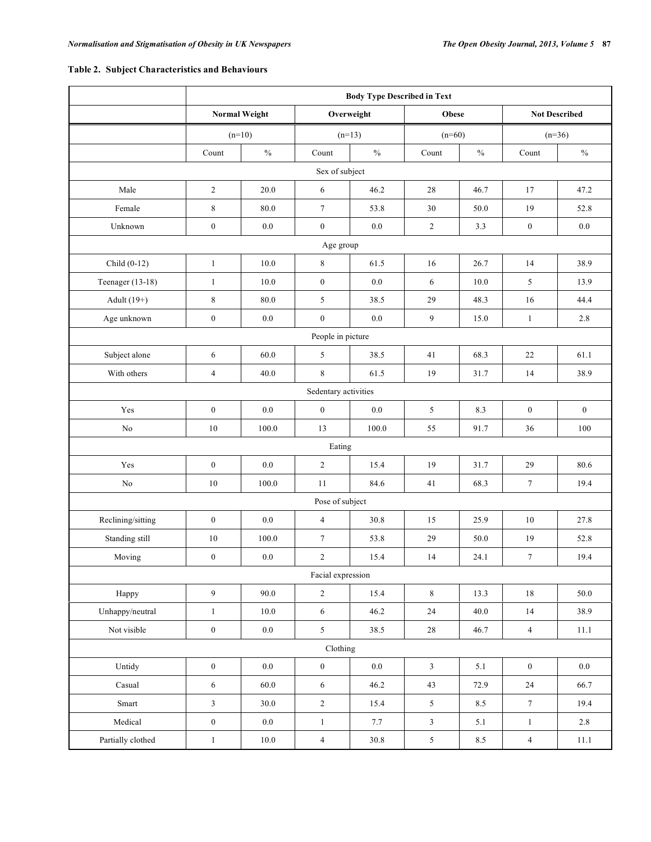# **Table 2. Subject Characteristics and Behaviours**

|                   | <b>Body Type Described in Text</b> |                      |                  |               |                |               |                      |                  |  |  |
|-------------------|------------------------------------|----------------------|------------------|---------------|----------------|---------------|----------------------|------------------|--|--|
|                   |                                    | <b>Normal Weight</b> | Overweight       |               | <b>Obese</b>   |               | <b>Not Described</b> |                  |  |  |
|                   | $(n=10)$                           |                      | $(n=13)$         |               | $(n=60)$       |               | $(n=36)$             |                  |  |  |
|                   | Count                              | $\%$                 | Count            | $\frac{0}{0}$ | Count          | $\frac{0}{0}$ | Count                | $\%$             |  |  |
| Sex of subject    |                                    |                      |                  |               |                |               |                      |                  |  |  |
| Male              | $\overline{c}$                     | 20.0                 | $\sqrt{6}$       | 46.2          | 28             | 46.7          | 17                   | 47.2             |  |  |
| Female            | 8                                  | 80.0                 | $\tau$           | 53.8          | 30             | 50.0          | 19                   | 52.8             |  |  |
| Unknown           | $\boldsymbol{0}$                   | $0.0\,$              | $\boldsymbol{0}$ | $0.0\,$       | $\sqrt{2}$     | 3.3           | $\boldsymbol{0}$     | $0.0\,$          |  |  |
| Age group         |                                    |                      |                  |               |                |               |                      |                  |  |  |
| Child $(0-12)$    | $\mathbf{1}$                       | $10.0\,$             | 8                | 61.5          | 16             | 26.7          | 14                   | 38.9             |  |  |
| Teenager (13-18)  | $\mathbf{1}$                       | 10.0                 | $\boldsymbol{0}$ | 0.0           | 6              | 10.0          | 5                    | 13.9             |  |  |
| Adult $(19+)$     | $\,8\,$                            | 80.0                 | 5                | 38.5          | 29             | 48.3          | 16                   | 44.4             |  |  |
| Age unknown       | $\boldsymbol{0}$                   | $0.0\,$              | $\boldsymbol{0}$ | 0.0           | 9              | 15.0          | $\mathbf{1}$         | 2.8              |  |  |
| People in picture |                                    |                      |                  |               |                |               |                      |                  |  |  |
| Subject alone     | 6                                  | 60.0                 | 5                | 38.5          | 41             | 68.3          | 22                   | 61.1             |  |  |
| With others       | $\overline{4}$                     | 40.0                 | 8                | 61.5          | 19             | 31.7          | 14                   | 38.9             |  |  |
|                   | Sedentary activities               |                      |                  |               |                |               |                      |                  |  |  |
| Yes               | $\boldsymbol{0}$                   | $0.0\,$              | $\boldsymbol{0}$ | $0.0\,$       | 5              | 8.3           | $\boldsymbol{0}$     | $\boldsymbol{0}$ |  |  |
| No                | $10\,$                             | 100.0                | 13               | 100.0         | 55             | 91.7          | 36                   | 100              |  |  |
|                   | Eating                             |                      |                  |               |                |               |                      |                  |  |  |
| Yes               | $\boldsymbol{0}$                   | 0.0                  | $\overline{c}$   | 15.4          | 19             | 31.7          | 29                   | 80.6             |  |  |
| No                | 10                                 | 100.0                | 11               | 84.6          | 41             | 68.3          | $\boldsymbol{7}$     | 19.4             |  |  |
|                   |                                    |                      | Pose of subject  |               |                |               |                      |                  |  |  |
| Reclining/sitting | $\boldsymbol{0}$                   | $0.0\,$              | $\overline{4}$   | 30.8          | 15             | 25.9          | $10\,$               | 27.8             |  |  |
| Standing still    | 10                                 | 100.0                | $\boldsymbol{7}$ | 53.8          | 29             | 50.0          | 19                   | 52.8             |  |  |
| Moving            | $\boldsymbol{0}$                   | $0.0\,$              | $\overline{c}$   | 15.4          | 14             | 24.1          | $\boldsymbol{7}$     | 19.4             |  |  |
|                   | Facial expression                  |                      |                  |               |                |               |                      |                  |  |  |
| Happy             | $\overline{9}$                     | 90.0                 | $\sqrt{2}$       | 15.4          | $\,8\,$        | 13.3          | 18                   | 50.0             |  |  |
| Unhappy/neutral   | $\mathbf{1}$                       | 10.0                 | $\sqrt{6}$       | 46.2          | 24             | 40.0          | 14                   | 38.9             |  |  |
| Not visible       | $\boldsymbol{0}$                   | $0.0\,$              | 5                | 38.5          | $28\,$         | 46.7          | $\overline{4}$       | $11.1\,$         |  |  |
| Clothing          |                                    |                      |                  |               |                |               |                      |                  |  |  |
| Untidy            | $\boldsymbol{0}$                   | $0.0\,$              | $\boldsymbol{0}$ | $0.0\,$       | $\mathfrak{Z}$ | $5.1\,$       | $\mathbf{0}$         | $0.0\,$          |  |  |
| Casual            | $\sqrt{6}$                         | 60.0                 | $\sqrt{6}$       | 46.2          | 43             | 72.9          | $24\,$               | 66.7             |  |  |
| Smart             | $\overline{\mathbf{3}}$            | 30.0                 | $\sqrt{2}$       | 15.4          | 5              | 8.5           | $\boldsymbol{7}$     | 19.4             |  |  |
| Medical           | $\boldsymbol{0}$                   | $0.0\,$              | $\mathbf{1}$     | $7.7\,$       | 3              | $5.1\,$       | $1\,$                | 2.8              |  |  |
| Partially clothed | $\mathbf{1}$                       | $10.0\,$             | $\overline{4}$   | 30.8          | $\sqrt{5}$     | $8.5\,$       | $\overline{4}$       | $11.1\,$         |  |  |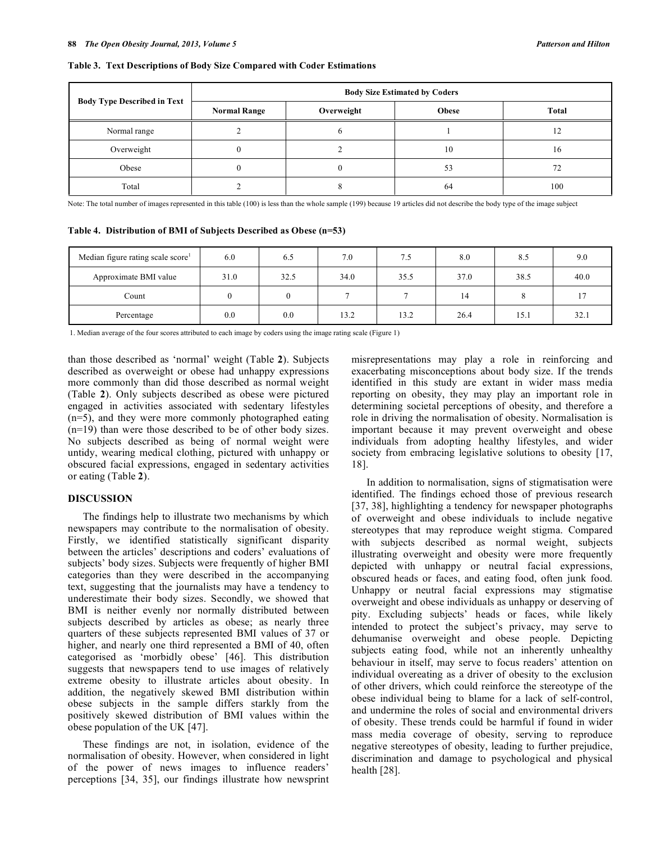#### **Table 3. Text Descriptions of Body Size Compared with Coder Estimations**

|                                    | <b>Body Size Estimated by Coders</b> |            |       |       |  |  |  |
|------------------------------------|--------------------------------------|------------|-------|-------|--|--|--|
| <b>Body Type Described in Text</b> | <b>Normal Range</b>                  | Overweight | Obese | Total |  |  |  |
| Normal range                       |                                      |            |       | 12    |  |  |  |
| Overweight                         |                                      |            | 10    | 16    |  |  |  |
| Obese                              |                                      |            | 53    | 72    |  |  |  |
| Total                              |                                      |            | 64    | 100   |  |  |  |

Note: The total number of images represented in this table (100) is less than the whole sample (199) because 19 articles did not describe the body type of the image subject

**Table 4. Distribution of BMI of Subjects Described as Obese (n=53)**

| Median figure rating scale score <sup>1</sup> | 6.0  | 6.5  | 7.0  | 7.5  | 8.0  | 8.5  | 9.0  |
|-----------------------------------------------|------|------|------|------|------|------|------|
| Approximate BMI value                         | 31.0 | 32.5 | 34.0 | 35.5 | 37.0 | 38.5 | 40.0 |
| Count                                         |      |      |      |      | 14   |      |      |
| Percentage                                    | 0.0  | 0.0  | 13.2 | 13.2 | 26.4 | 15.1 | 32.1 |

1. Median average of the four scores attributed to each image by coders using the image rating scale (Figure 1)

than those described as 'normal' weight (Table **2**). Subjects described as overweight or obese had unhappy expressions more commonly than did those described as normal weight (Table **2**). Only subjects described as obese were pictured engaged in activities associated with sedentary lifestyles (n=5), and they were more commonly photographed eating (n=19) than were those described to be of other body sizes. No subjects described as being of normal weight were untidy, wearing medical clothing, pictured with unhappy or obscured facial expressions, engaged in sedentary activities or eating (Table **2**).

### **DISCUSSION**

The findings help to illustrate two mechanisms by which newspapers may contribute to the normalisation of obesity. Firstly, we identified statistically significant disparity between the articles' descriptions and coders' evaluations of subjects' body sizes. Subjects were frequently of higher BMI categories than they were described in the accompanying text, suggesting that the journalists may have a tendency to underestimate their body sizes. Secondly, we showed that BMI is neither evenly nor normally distributed between subjects described by articles as obese; as nearly three quarters of these subjects represented BMI values of 37 or higher, and nearly one third represented a BMI of 40, often categorised as 'morbidly obese' [46]. This distribution suggests that newspapers tend to use images of relatively extreme obesity to illustrate articles about obesity. In addition, the negatively skewed BMI distribution within obese subjects in the sample differs starkly from the positively skewed distribution of BMI values within the obese population of the UK [47].

These findings are not, in isolation, evidence of the normalisation of obesity. However, when considered in light of the power of news images to influence readers' perceptions [34, 35], our findings illustrate how newsprint

misrepresentations may play a role in reinforcing and exacerbating misconceptions about body size. If the trends identified in this study are extant in wider mass media reporting on obesity, they may play an important role in determining societal perceptions of obesity, and therefore a role in driving the normalisation of obesity. Normalisation is important because it may prevent overweight and obese individuals from adopting healthy lifestyles, and wider society from embracing legislative solutions to obesity [17, 18].

In addition to normalisation, signs of stigmatisation were identified. The findings echoed those of previous research [37, 38], highlighting a tendency for newspaper photographs of overweight and obese individuals to include negative stereotypes that may reproduce weight stigma. Compared with subjects described as normal weight, subjects illustrating overweight and obesity were more frequently depicted with unhappy or neutral facial expressions, obscured heads or faces, and eating food, often junk food. Unhappy or neutral facial expressions may stigmatise overweight and obese individuals as unhappy or deserving of pity. Excluding subjects' heads or faces, while likely intended to protect the subject's privacy, may serve to dehumanise overweight and obese people. Depicting subjects eating food, while not an inherently unhealthy behaviour in itself, may serve to focus readers' attention on individual overeating as a driver of obesity to the exclusion of other drivers, which could reinforce the stereotype of the obese individual being to blame for a lack of self-control, and undermine the roles of social and environmental drivers of obesity. These trends could be harmful if found in wider mass media coverage of obesity, serving to reproduce negative stereotypes of obesity, leading to further prejudice, discrimination and damage to psychological and physical health [28].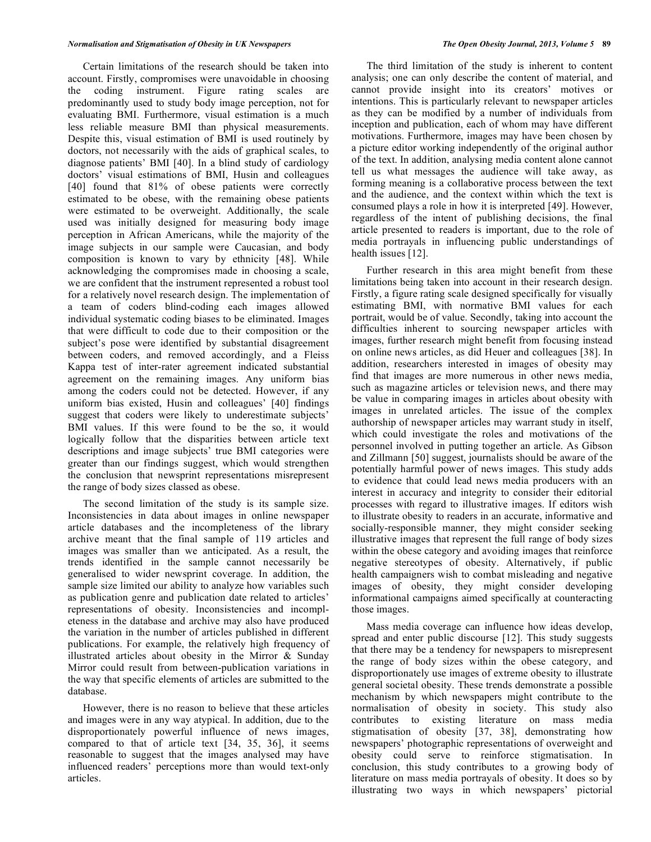Certain limitations of the research should be taken into account. Firstly, compromises were unavoidable in choosing the coding instrument. Figure rating scales are predominantly used to study body image perception, not for evaluating BMI. Furthermore, visual estimation is a much less reliable measure BMI than physical measurements. Despite this, visual estimation of BMI is used routinely by doctors, not necessarily with the aids of graphical scales, to diagnose patients' BMI [40]. In a blind study of cardiology doctors' visual estimations of BMI, Husin and colleagues [40] found that 81% of obese patients were correctly estimated to be obese, with the remaining obese patients were estimated to be overweight. Additionally, the scale used was initially designed for measuring body image perception in African Americans, while the majority of the image subjects in our sample were Caucasian, and body composition is known to vary by ethnicity [48]. While acknowledging the compromises made in choosing a scale, we are confident that the instrument represented a robust tool for a relatively novel research design. The implementation of a team of coders blind-coding each images allowed individual systematic coding biases to be eliminated. Images that were difficult to code due to their composition or the subject's pose were identified by substantial disagreement between coders, and removed accordingly, and a Fleiss Kappa test of inter-rater agreement indicated substantial agreement on the remaining images. Any uniform bias among the coders could not be detected. However, if any uniform bias existed, Husin and colleagues' [40] findings suggest that coders were likely to underestimate subjects' BMI values. If this were found to be the so, it would logically follow that the disparities between article text descriptions and image subjects' true BMI categories were greater than our findings suggest, which would strengthen the conclusion that newsprint representations misrepresent the range of body sizes classed as obese.

The second limitation of the study is its sample size. Inconsistencies in data about images in online newspaper article databases and the incompleteness of the library archive meant that the final sample of 119 articles and images was smaller than we anticipated. As a result, the trends identified in the sample cannot necessarily be generalised to wider newsprint coverage. In addition, the sample size limited our ability to analyze how variables such as publication genre and publication date related to articles' representations of obesity. Inconsistencies and incompleteness in the database and archive may also have produced the variation in the number of articles published in different publications. For example, the relatively high frequency of illustrated articles about obesity in the Mirror & Sunday Mirror could result from between-publication variations in the way that specific elements of articles are submitted to the database.

However, there is no reason to believe that these articles and images were in any way atypical. In addition, due to the disproportionately powerful influence of news images, compared to that of article text [34, 35, 36], it seems reasonable to suggest that the images analysed may have influenced readers' perceptions more than would text-only articles.

The third limitation of the study is inherent to content analysis; one can only describe the content of material, and cannot provide insight into its creators' motives or intentions. This is particularly relevant to newspaper articles as they can be modified by a number of individuals from inception and publication, each of whom may have different motivations. Furthermore, images may have been chosen by a picture editor working independently of the original author of the text. In addition, analysing media content alone cannot tell us what messages the audience will take away, as forming meaning is a collaborative process between the text and the audience, and the context within which the text is consumed plays a role in how it is interpreted [49]. However, regardless of the intent of publishing decisions, the final article presented to readers is important, due to the role of media portrayals in influencing public understandings of health issues [12].

Further research in this area might benefit from these limitations being taken into account in their research design. Firstly, a figure rating scale designed specifically for visually estimating BMI, with normative BMI values for each portrait, would be of value. Secondly, taking into account the difficulties inherent to sourcing newspaper articles with images, further research might benefit from focusing instead on online news articles, as did Heuer and colleagues [38]. In addition, researchers interested in images of obesity may find that images are more numerous in other news media, such as magazine articles or television news, and there may be value in comparing images in articles about obesity with images in unrelated articles. The issue of the complex authorship of newspaper articles may warrant study in itself, which could investigate the roles and motivations of the personnel involved in putting together an article. As Gibson and Zillmann [50] suggest, journalists should be aware of the potentially harmful power of news images. This study adds to evidence that could lead news media producers with an interest in accuracy and integrity to consider their editorial processes with regard to illustrative images. If editors wish to illustrate obesity to readers in an accurate, informative and socially-responsible manner, they might consider seeking illustrative images that represent the full range of body sizes within the obese category and avoiding images that reinforce negative stereotypes of obesity. Alternatively, if public health campaigners wish to combat misleading and negative images of obesity, they might consider developing informational campaigns aimed specifically at counteracting those images.

Mass media coverage can influence how ideas develop, spread and enter public discourse [12]. This study suggests that there may be a tendency for newspapers to misrepresent the range of body sizes within the obese category, and disproportionately use images of extreme obesity to illustrate general societal obesity. These trends demonstrate a possible mechanism by which newspapers might contribute to the normalisation of obesity in society. This study also contributes to existing literature on mass media stigmatisation of obesity [37, 38], demonstrating how newspapers' photographic representations of overweight and obesity could serve to reinforce stigmatisation. In conclusion, this study contributes to a growing body of literature on mass media portrayals of obesity. It does so by illustrating two ways in which newspapers' pictorial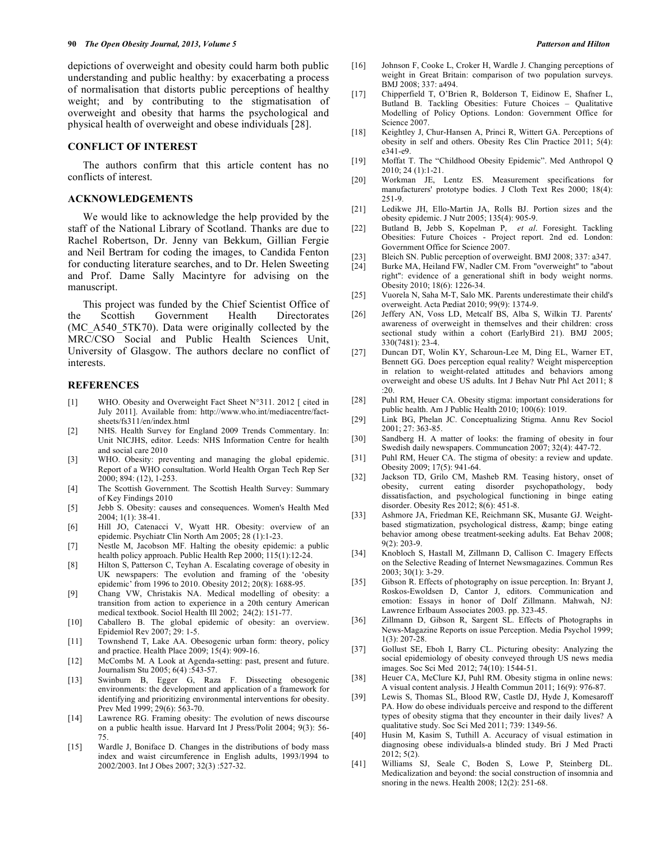depictions of overweight and obesity could harm both public understanding and public healthy: by exacerbating a process of normalisation that distorts public perceptions of healthy weight; and by contributing to the stigmatisation of overweight and obesity that harms the psychological and physical health of overweight and obese individuals [28].

# **CONFLICT OF INTEREST**

The authors confirm that this article content has no conflicts of interest.

#### **ACKNOWLEDGEMENTS**

We would like to acknowledge the help provided by the staff of the National Library of Scotland. Thanks are due to Rachel Robertson, Dr. Jenny van Bekkum, Gillian Fergie and Neil Bertram for coding the images, to Candida Fenton for conducting literature searches, and to Dr. Helen Sweeting and Prof. Dame Sally Macintyre for advising on the manuscript.

This project was funded by the Chief Scientist Office of the Scottish Government Health Directorates (MC\_A540\_5TK70). Data were originally collected by the MRC/CSO Social and Public Health Sciences Unit, University of Glasgow. The authors declare no conflict of interests.

#### **REFERENCES**

- [1] WHO. Obesity and Overweight Fact Sheet N°311. 2012 [ cited in July 2011]. Available from: http://www.who.int/mediacentre/factsheets/fs311/en/index.html
- [2] NHS. Health Survey for England 2009 Trends Commentary. In: Unit NICJHS, editor. Leeds: NHS Information Centre for health and social care 2010
- [3] WHO. Obesity: preventing and managing the global epidemic. Report of a WHO consultation. World Health Organ Tech Rep Ser 2000; 894: (12), 1-253.
- [4] The Scottish Government. The Scottish Health Survey: Summary of Key Findings 2010
- [5] Jebb S. Obesity: causes and consequences. Women's Health Med 2004; 1(1): 38-41.
- [6] Hill JO, Catenacci V, Wyatt HR. Obesity: overview of an epidemic. Psychiatr Clin North Am 2005; 28 (1):1-23.
- [7] Nestle M, Jacobson MF. Halting the obesity epidemic: a public health policy approach. Public Health Rep 2000; 115(1):12-24.
- [8] Hilton S, Patterson C, Teyhan A. Escalating coverage of obesity in UK newspapers: The evolution and framing of the 'obesity epidemic' from 1996 to 2010. Obesity 2012; 20(8): 1688-95.
- [9] Chang VW, Christakis NA. Medical modelling of obesity: a transition from action to experience in a 20th century American medical textbook. Sociol Health Ill 2002; 24(2): 151-77.
- [10] Caballero B. The global epidemic of obesity: an overview. Epidemiol Rev 2007; 29: 1-5.
- [11] Townshend T, Lake AA. Obesogenic urban form: theory, policy and practice. Health Place 2009; 15(4): 909-16.
- [12] McCombs M. A Look at Agenda-setting: past, present and future. Journalism Stu 2005; 6(4) :543-57.
- [13] Swinburn B, Egger G, Raza F. Dissecting obesogenic environments: the development and application of a framework for identifying and prioritizing environmental interventions for obesity. Prev Med 1999; 29(6): 563-70.
- [14] Lawrence RG. Framing obesity: The evolution of news discourse on a public health issue. Harvard Int J Press/Polit 2004; 9(3): 56- 75.
- [15] Wardle J, Boniface D. Changes in the distributions of body mass index and waist circumference in English adults, 1993/1994 to 2002/2003. Int J Obes 2007; 32(3) :527-32.
- [16] Johnson F, Cooke L, Croker H, Wardle J. Changing perceptions of weight in Great Britain: comparison of two population surveys. BMJ 2008; 337: a494.
- [17] Chipperfield T, O'Brien R, Bolderson T, Eidinow E, Shafner L, Butland B. Tackling Obesities: Future Choices – Qualitative Modelling of Policy Options. London: Government Office for Science 2007.
- [18] Keightley J, Chur-Hansen A, Princi R, Wittert GA. Perceptions of obesity in self and others. Obesity Res Clin Practice 2011; 5(4): e341-e9.
- [19] Moffat T. The "Childhood Obesity Epidemic". Med Anthropol Q 2010; 24 (1):1-21.
- [20] Workman JE, Lentz ES. Measurement specifications for manufacturers' prototype bodies. J Cloth Text Res 2000; 18(4): 251-9.
- [21] Ledikwe JH, Ello-Martin JA, Rolls BJ. Portion sizes and the obesity epidemic. J Nutr 2005; 135(4): 905-9.
- [22] Butland B, Jebb S, Kopelman P, *et al*. Foresight. Tackling Obesities: Future Choices - Project report. 2nd ed. London: Government Office for Science 2007.
- [23] Bleich SN. Public perception of overweight. BMJ 2008; 337: a347.
- [24] Burke MA, Heiland FW, Nadler CM. From "overweight" to "about right": evidence of a generational shift in body weight norms. Obesity 2010; 18(6): 1226-34.
- [25] Vuorela N, Saha M-T, Salo MK. Parents underestimate their child's overweight. Acta Pædiat 2010; 99(9): 1374-9.
- [26] Jeffery AN, Voss LD, Metcalf BS, Alba S, Wilkin TJ. Parents' awareness of overweight in themselves and their children: cross sectional study within a cohort (EarlyBird 21). BMJ 2005; 330(7481): 23-4.
- [27] Duncan DT, Wolin KY, Scharoun-Lee M, Ding EL, Warner ET, Bennett GG. Does perception equal reality? Weight misperception in relation to weight-related attitudes and behaviors among overweight and obese US adults. Int J Behav Nutr Phl Act 2011; 8  $\cdot$ 20.
- [28] Puhl RM, Heuer CA. Obesity stigma: important considerations for public health. Am J Public Health 2010; 100(6): 1019.
- [29] Link BG, Phelan JC. Conceptualizing Stigma. Annu Rev Sociol 2001; 27: 363-85.
- [30] Sandberg H. A matter of looks: the framing of obesity in four Swedish daily newspapers. Communcation 2007; 32(4): 447-72.
- [31] Puhl RM, Heuer CA. The stigma of obesity: a review and update. Obesity 2009; 17(5): 941-64.
- [32] Jackson TD, Grilo CM, Masheb RM. Teasing history, onset of obesity, current eating disorder psychopathology, body dissatisfaction, and psychological functioning in binge eating disorder. Obesity Res 2012; 8(6): 451-8.
- [33] Ashmore JA, Friedman KE, Reichmann SK, Musante GJ. Weightbased stigmatization, psychological distress, & amp; binge eating behavior among obese treatment-seeking adults. Eat Behav 2008; 9(2): 203-9.
- [34] Knobloch S, Hastall M, Zillmann D, Callison C. Imagery Effects on the Selective Reading of Internet Newsmagazines. Commun Res 2003; 30(1): 3-29.
- [35] Gibson R. Effects of photography on issue perception. In: Bryant J, Roskos-Ewoldsen D, Cantor J, editors. Communication and emotion: Essays in honor of Dolf Zillmann. Mahwah, NJ: Lawrence Erlbaum Associates 2003. pp. 323-45.
- [36] Zillmann D, Gibson R, Sargent SL. Effects of Photographs in News-Magazine Reports on issue Perception. Media Psychol 1999; 1(3): 207-28.
- [37] Gollust SE, Eboh I, Barry CL. Picturing obesity: Analyzing the social epidemiology of obesity conveyed through US news media images. Soc Sci Med 2012; 74(10): 1544-51.
- [38] Heuer CA, McClure KJ, Puhl RM. Obesity stigma in online news: A visual content analysis. J Health Commun 2011; 16(9): 976-87.
- [39] Lewis S, Thomas SL, Blood RW, Castle DJ, Hyde J, Komesaroff PA. How do obese individuals perceive and respond to the different types of obesity stigma that they encounter in their daily lives? A qualitative study. Soc Sci Med 2011; 739: 1349-56.
- [40] Husin M, Kasim S, Tuthill A. Accuracy of visual estimation in diagnosing obese individuals-a blinded study. Bri J Med Practi 2012; 5(2).
- [41] Williams SJ, Seale C, Boden S, Lowe P, Steinberg DL. Medicalization and beyond: the social construction of insomnia and snoring in the news. Health 2008; 12(2): 251-68.